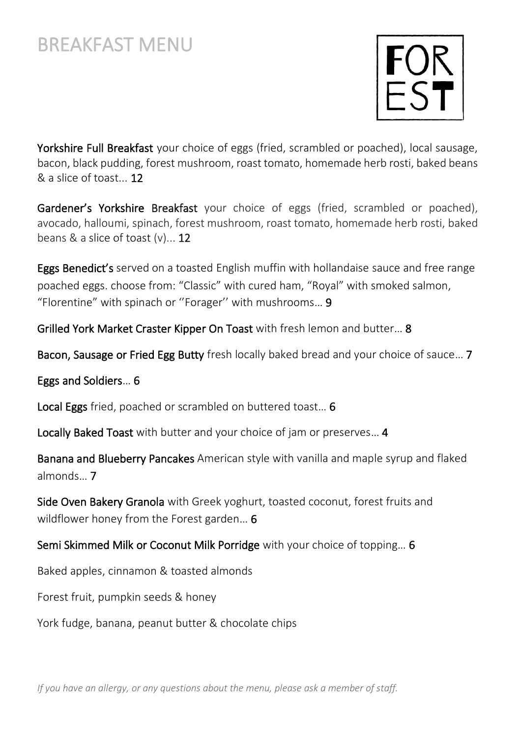

Yorkshire Full Breakfast your choice of eggs (fried, scrambled or poached), local sausage, bacon, black pudding, forest mushroom, roast tomato, homemade herb rosti, baked beans & a slice of toast... 12

Gardener's Yorkshire Breakfast your choice of eggs (fried, scrambled or poached), avocado, halloumi, spinach, forest mushroom, roast tomato, homemade herb rosti, baked beans  $\&$  a slice of toast  $(v)$ ... 12

Eggs Benedict's served on a toasted English muffin with hollandaise sauce and free range poached eggs. choose from: "Classic" with cured ham, "Royal" with smoked salmon, "Florentine" with spinach or ''Forager'' with mushrooms… 9

Grilled York Market Craster Kipper On Toast with fresh lemon and butter… 8

Bacon, Sausage or Fried Egg Butty fresh locally baked bread and your choice of sauce… 7

Eggs and Soldiers… 6

Local Eggs fried, poached or scrambled on buttered toast… 6

Locally Baked Toast with butter and your choice of jam or preserves… 4

Banana and Blueberry Pancakes American style with vanilla and maple syrup and flaked almonds… 7

Side Oven Bakery Granola with Greek yoghurt, toasted coconut, forest fruits and wildflower honey from the Forest garden... 6

Semi Skimmed Milk or Coconut Milk Porridge with your choice of topping… 6

Baked apples, cinnamon & toasted almonds

Forest fruit, pumpkin seeds & honey

York fudge, banana, peanut butter & chocolate chips